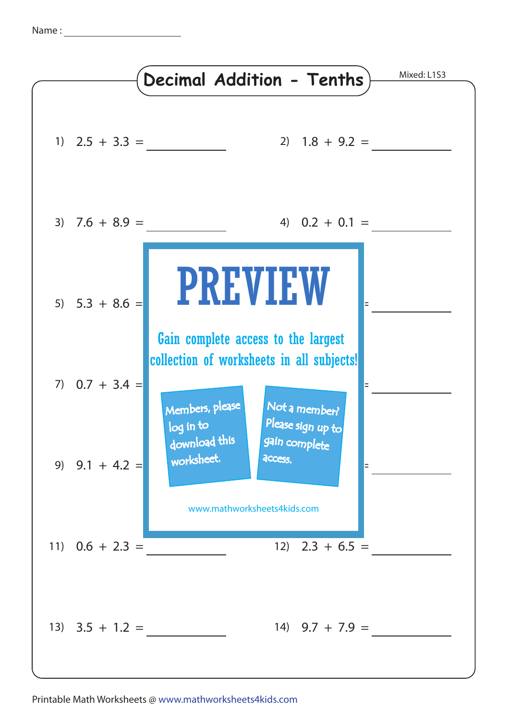